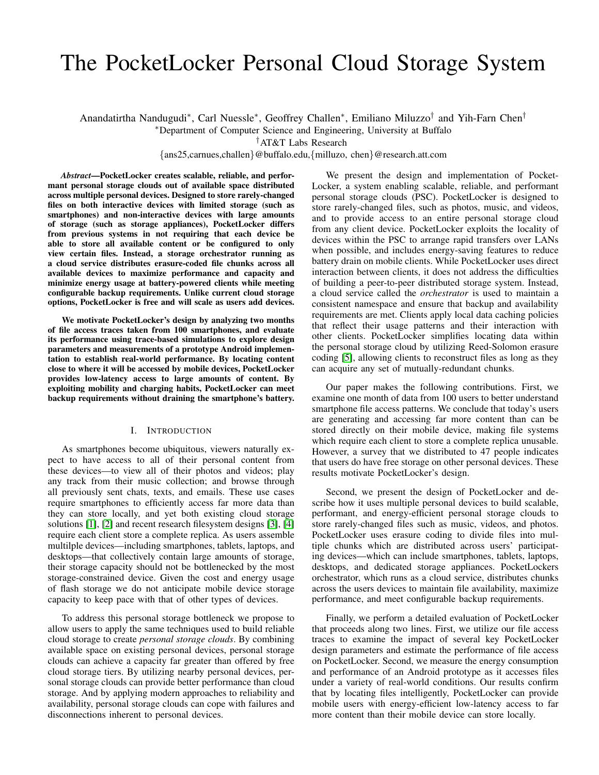# The PocketLocker Personal Cloud Storage System

Anandatirtha Nandugudi\*, Carl Nuessle\*, Geoffrey Challen\*, Emiliano Miluzzo<sup>†</sup> and Yih-Farn Chen<sup>†</sup>

<sup>∗</sup>Department of Computer Science and Engineering, University at Buffalo

†AT&T Labs Research

{ans25,carnues,challen}@buffalo.edu,{milluzo, chen}@research.att.com

*Abstract*—PocketLocker creates scalable, reliable, and performant personal storage clouds out of available space distributed across multiple personal devices. Designed to store rarely-changed files on both interactive devices with limited storage (such as smartphones) and non-interactive devices with large amounts of storage (such as storage appliances), PocketLocker differs from previous systems in not requiring that each device be able to store all available content or be configured to only view certain files. Instead, a storage orchestrator running as a cloud service distributes erasure-coded file chunks across all available devices to maximize performance and capacity and minimize energy usage at battery-powered clients while meeting configurable backup requirements. Unlike current cloud storage options, PocketLocker is free and will scale as users add devices.

We motivate PocketLocker's design by analyzing two months of file access traces taken from 100 smartphones, and evaluate its performance using trace-based simulations to explore design parameters and measurements of a prototype Android implementation to establish real-world performance. By locating content close to where it will be accessed by mobile devices, PocketLocker provides low-latency access to large amounts of content. By exploiting mobility and charging habits, PocketLocker can meet backup requirements without draining the smartphone's battery.

## I. INTRODUCTION

As smartphones become ubiquitous, viewers naturally expect to have access to all of their personal content from these devices—to view all of their photos and videos; play any track from their music collection; and browse through all previously sent chats, texts, and emails. These use cases require smartphones to efficiently access far more data than they can store locally, and yet both existing cloud storage solutions [\[1\]](#page-9-0), [\[2\]](#page-9-1) and recent research filesystem designs [\[3\]](#page-9-2), [\[4\]](#page-9-3) require each client store a complete replica. As users assemble multilple devices—including smartphones, tablets, laptops, and desktops—that collectively contain large amounts of storage, their storage capacity should not be bottlenecked by the most storage-constrained device. Given the cost and energy usage of flash storage we do not anticipate mobile device storage capacity to keep pace with that of other types of devices.

To address this personal storage bottleneck we propose to allow users to apply the same techniques used to build reliable cloud storage to create *personal storage clouds*. By combining available space on existing personal devices, personal storage clouds can achieve a capacity far greater than offered by free cloud storage tiers. By utilizing nearby personal devices, personal storage clouds can provide better performance than cloud storage. And by applying modern approaches to reliability and availability, personal storage clouds can cope with failures and disconnections inherent to personal devices.

We present the design and implementation of Pocket-Locker, a system enabling scalable, reliable, and performant personal storage clouds (PSC). PocketLocker is designed to store rarely-changed files, such as photos, music, and videos, and to provide access to an entire personal storage cloud from any client device. PocketLocker exploits the locality of devices within the PSC to arrange rapid transfers over LANs when possible, and includes energy-saving features to reduce battery drain on mobile clients. While PocketLocker uses direct interaction between clients, it does not address the difficulties of building a peer-to-peer distributed storage system. Instead, a cloud service called the *orchestrator* is used to maintain a consistent namespace and ensure that backup and availability requirements are met. Clients apply local data caching policies that reflect their usage patterns and their interaction with other clients. PocketLocker simplifies locating data within the personal storage cloud by utilizing Reed-Solomon erasure coding [\[5\]](#page-9-4), allowing clients to reconstruct files as long as they can acquire any set of mutually-redundant chunks.

Our paper makes the following contributions. First, we examine one month of data from 100 users to better understand smartphone file access patterns. We conclude that today's users are generating and accessing far more content than can be stored directly on their mobile device, making file systems which require each client to store a complete replica unusable. However, a survey that we distributed to 47 people indicates that users do have free storage on other personal devices. These results motivate PocketLocker's design.

Second, we present the design of PocketLocker and describe how it uses multiple personal devices to build scalable, performant, and energy-efficient personal storage clouds to store rarely-changed files such as music, videos, and photos. PocketLocker uses erasure coding to divide files into multiple chunks which are distributed across users' participating devices—which can include smartphones, tablets, laptops, desktops, and dedicated storage appliances. PocketLockers orchestrator, which runs as a cloud service, distributes chunks across the users devices to maintain file availability, maximize performance, and meet configurable backup requirements.

Finally, we perform a detailed evaluation of PocketLocker that proceeds along two lines. First, we utilize our file access traces to examine the impact of several key PocketLocker design parameters and estimate the performance of file access on PocketLocker. Second, we measure the energy consumption and performance of an Android prototype as it accesses files under a variety of real-world conditions. Our results confirm that by locating files intelligently, PocketLocker can provide mobile users with energy-efficient low-latency access to far more content than their mobile device can store locally.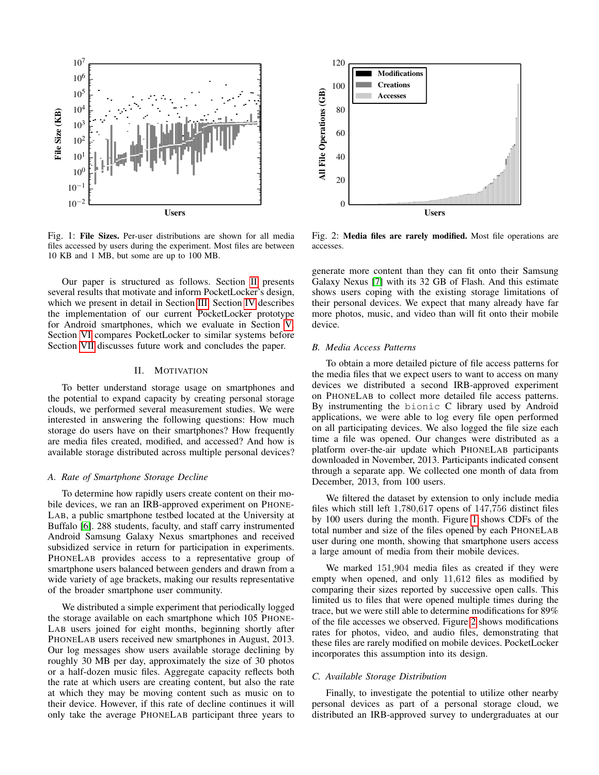<span id="page-1-1"></span>

Fig. 1: File Sizes. Per-user distributions are shown for all media files accessed by users during the experiment. Most files are between 10 KB and 1 MB, but some are up to 100 MB.

Our paper is structured as follows. Section [II](#page-1-0) presents several results that motivate and inform PocketLocker's design, which we present in detail in Section [III.](#page-2-0) Section [IV](#page-6-0) describes the implementation of our current PocketLocker prototype for Android smartphones, which we evaluate in Section [V.](#page-6-1) Section [VI](#page-8-0) compares PocketLocker to similar systems before Section [VII](#page-9-5) discusses future work and concludes the paper.

## II. MOTIVATION

<span id="page-1-0"></span>To better understand storage usage on smartphones and the potential to expand capacity by creating personal storage clouds, we performed several measurement studies. We were interested in answering the following questions: How much storage do users have on their smartphones? How frequently are media files created, modified, and accessed? And how is available storage distributed across multiple personal devices?

#### *A. Rate of Smartphone Storage Decline*

To determine how rapidly users create content on their mobile devices, we ran an IRB-approved experiment on PHONE-LAB, a public smartphone testbed located at the University at Buffalo [\[6\]](#page-9-6). 288 students, faculty, and staff carry instrumented Android Samsung Galaxy Nexus smartphones and received subsidized service in return for participation in experiments. PHONELAB provides access to a representative group of smartphone users balanced between genders and drawn from a wide variety of age brackets, making our results representative of the broader smartphone user community.

We distributed a simple experiment that periodically logged the storage available on each smartphone which 105 PHONE-LAB users joined for eight months, beginning shortly after PHONELAB users received new smartphones in August, 2013. Our log messages show users available storage declining by roughly 30 MB per day, approximately the size of 30 photos or a half-dozen music files. Aggregate capacity reflects both the rate at which users are creating content, but also the rate at which they may be moving content such as music on to their device. However, if this rate of decline continues it will only take the average PHONELAB participant three years to

<span id="page-1-2"></span>

Fig. 2: Media files are rarely modified. Most file operations are accesses.

generate more content than they can fit onto their Samsung Galaxy Nexus [\[7\]](#page-9-7) with its 32 GB of Flash. And this estimate shows users coping with the existing storage limitations of their personal devices. We expect that many already have far more photos, music, and video than will fit onto their mobile device.

## *B. Media Access Patterns*

To obtain a more detailed picture of file access patterns for the media files that we expect users to want to access on many devices we distributed a second IRB-approved experiment on PHONELAB to collect more detailed file access patterns. By instrumenting the bionic C library used by Android applications, we were able to log every file open performed on all participating devices. We also logged the file size each time a file was opened. Our changes were distributed as a platform over-the-air update which PHONELAB participants downloaded in November, 2013. Participants indicated consent through a separate app. We collected one month of data from December, 2013, from 100 users.

We filtered the dataset by extension to only include media files which still left 1,780,617 opens of 147,756 distinct files by 100 users during the month. Figure [1](#page-1-1) shows CDFs of the total number and size of the files opened by each PHONELAB user during one month, showing that smartphone users access a large amount of media from their mobile devices.

We marked 151,904 media files as created if they were empty when opened, and only 11,612 files as modified by comparing their sizes reported by successive open calls. This limited us to files that were opened multiple times during the trace, but we were still able to determine modifications for 89% of the file accesses we observed. Figure [2](#page-1-2) shows modifications rates for photos, video, and audio files, demonstrating that these files are rarely modified on mobile devices. PocketLocker incorporates this assumption into its design.

## *C. Available Storage Distribution*

Finally, to investigate the potential to utilize other nearby personal devices as part of a personal storage cloud, we distributed an IRB-approved survey to undergraduates at our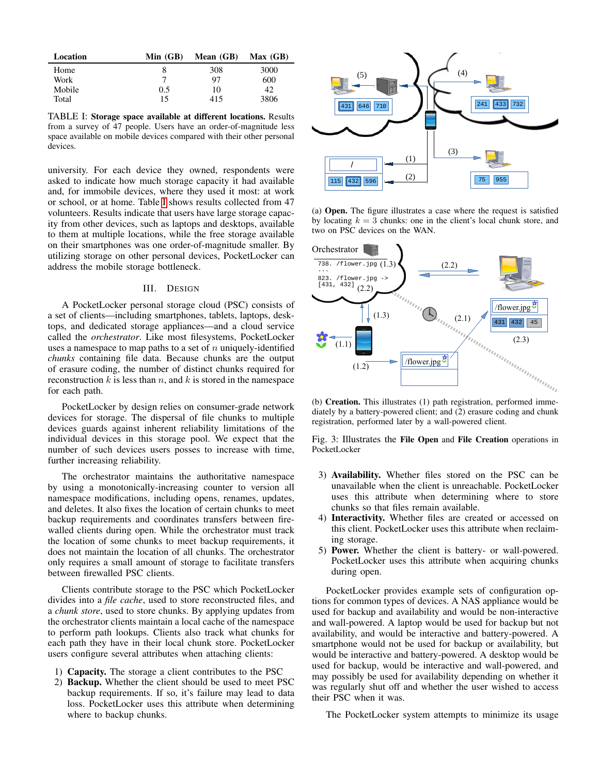<span id="page-2-1"></span>

| Location | Min $(GB)$ | Mean $(GB)$ | Max(GB) |
|----------|------------|-------------|---------|
| Home     |            | 308         | 3000    |
| Work     |            | 97          | 600     |
| Mobile   | 0.5        | 10          | 42      |
| Total    | 15         | 415         | 3806    |

TABLE I: Storage space available at different locations. Results from a survey of 47 people. Users have an order-of-magnitude less space available on mobile devices compared with their other personal devices.

university. For each device they owned, respondents were asked to indicate how much storage capacity it had available and, for immobile devices, where they used it most: at work or school, or at home. Table [I](#page-2-1) shows results collected from 47 volunteers. Results indicate that users have large storage capacity from other devices, such as laptops and desktops, available to them at multiple locations, while the free storage available on their smartphones was one order-of-magnitude smaller. By utilizing storage on other personal devices, PocketLocker can address the mobile storage bottleneck.

## III. DESIGN

<span id="page-2-0"></span>A PocketLocker personal storage cloud (PSC) consists of a set of clients—including smartphones, tablets, laptops, desktops, and dedicated storage appliances—and a cloud service called the *orchestrator*. Like most filesystems, PocketLocker uses a namespace to map paths to a set of  $n$  uniquely-identified *chunks* containing file data. Because chunks are the output of erasure coding, the number of distinct chunks required for reconstruction k is less than n, and k is stored in the namespace for each path.

PocketLocker by design relies on consumer-grade network devices for storage. The dispersal of file chunks to multiple devices guards against inherent reliability limitations of the individual devices in this storage pool. We expect that the number of such devices users posses to increase with time, further increasing reliability.

The orchestrator maintains the authoritative namespace by using a monotonically-increasing counter to version all namespace modifications, including opens, renames, updates, and deletes. It also fixes the location of certain chunks to meet backup requirements and coordinates transfers between firewalled clients during open. While the orchestrator must track the location of some chunks to meet backup requirements, it does not maintain the location of all chunks. The orchestrator only requires a small amount of storage to facilitate transfers between firewalled PSC clients.

Clients contribute storage to the PSC which PocketLocker divides into a *file cache*, used to store reconstructed files, and a *chunk store*, used to store chunks. By applying updates from the orchestrator clients maintain a local cache of the namespace to perform path lookups. Clients also track what chunks for each path they have in their local chunk store. PocketLocker users configure several attributes when attaching clients:

- 1) Capacity. The storage a client contributes to the PSC
- 2) Backup. Whether the client should be used to meet PSC backup requirements. If so, it's failure may lead to data loss. PocketLocker uses this attribute when determining where to backup chunks.

<span id="page-2-2"></span>

(a) Open. The figure illustrates a case where the request is satisfied by locating  $k = 3$  chunks: one in the client's local chunk store, and two on PSC devices on the WAN.



(b) Creation. This illustrates (1) path registration, performed immediately by a battery-powered client; and (2) erasure coding and chunk registration, performed later by a wall-powered client.

Fig. 3: Illustrates the File Open and File Creation operations in PocketLocker

- 3) Availability. Whether files stored on the PSC can be unavailable when the client is unreachable. PocketLocker uses this attribute when determining where to store chunks so that files remain available.
- 4) Interactivity. Whether files are created or accessed on this client. PocketLocker uses this attribute when reclaiming storage.
- 5) Power. Whether the client is battery- or wall-powered. PocketLocker uses this attribute when acquiring chunks during open.

PocketLocker provides example sets of configuration options for common types of devices. A NAS appliance would be used for backup and availability and would be non-interactive and wall-powered. A laptop would be used for backup but not availability, and would be interactive and battery-powered. A smartphone would not be used for backup or availability, but would be interactive and battery-powered. A desktop would be used for backup, would be interactive and wall-powered, and may possibly be used for availability depending on whether it was regularly shut off and whether the user wished to access their PSC when it was.

The PocketLocker system attempts to minimize its usage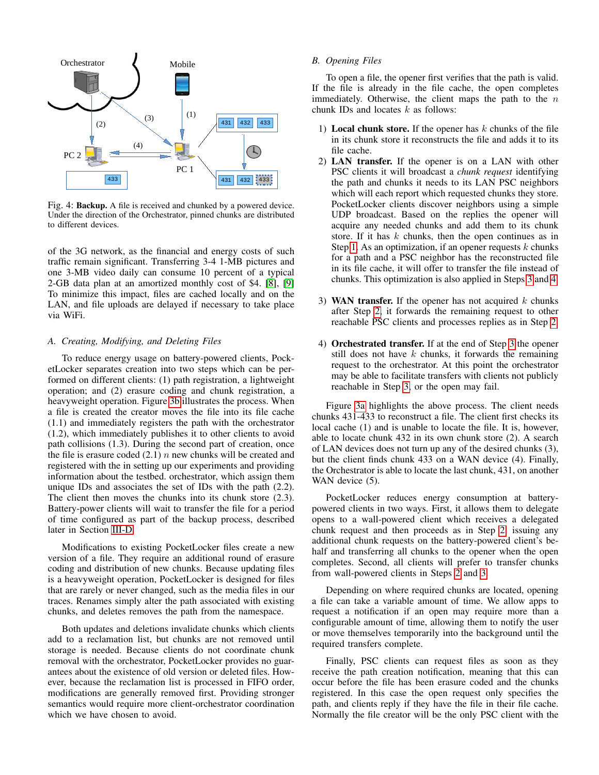<span id="page-3-4"></span>

Fig. 4: Backup. A file is received and chunked by a powered device. Under the direction of the Orchestrator, pinned chunks are distributed to different devices.

of the 3G network, as the financial and energy costs of such traffic remain significant. Transferring 3-4 1-MB pictures and one 3-MB video daily can consume 10 percent of a typical 2-GB data plan at an amortized monthly cost of \$4. [\[8\]](#page-9-8), [\[9\]](#page-9-9) To minimize this impact, files are cached locally and on the LAN, and file uploads are delayed if necessary to take place via WiFi.

# *A. Creating, Modifying, and Deleting Files*

To reduce energy usage on battery-powered clients, PocketLocker separates creation into two steps which can be performed on different clients: (1) path registration, a lightweight operation; and (2) erasure coding and chunk registration, a heavyweight operation. Figure [3b](#page-2-2) illustrates the process. When a file is created the creator moves the file into its file cache (1.1) and immediately registers the path with the orchestrator (1.2), which immediately publishes it to other clients to avoid path collisions (1.3). During the second part of creation, once the file is erasure coded  $(2.1)$  *n* new chunks will be created and registered with the in setting up our experiments and providing information about the testbed. orchestrator, which assign them unique IDs and associates the set of IDs with the path (2.2). The client then moves the chunks into its chunk store (2.3). Battery-power clients will wait to transfer the file for a period of time configured as part of the backup process, described later in Section [III-D.](#page-4-0)

Modifications to existing PocketLocker files create a new version of a file. They require an additional round of erasure coding and distribution of new chunks. Because updating files is a heavyweight operation, PocketLocker is designed for files that are rarely or never changed, such as the media files in our traces. Renames simply alter the path associated with existing chunks, and deletes removes the path from the namespace.

Both updates and deletions invalidate chunks which clients add to a reclamation list, but chunks are not removed until storage is needed. Because clients do not coordinate chunk removal with the orchestrator, PocketLocker provides no guarantees about the existence of old version or deleted files. However, because the reclamation list is processed in FIFO order, modifications are generally removed first. Providing stronger semantics would require more client-orchestrator coordination which we have chosen to avoid.

# *B. Opening Files*

To open a file, the opener first verifies that the path is valid. If the file is already in the file cache, the open completes immediately. Otherwise, the client maps the path to the  $n$ chunk IDs and locates  $k$  as follows:

- <span id="page-3-0"></span>1) Local chunk store. If the opener has  $k$  chunks of the file in its chunk store it reconstructs the file and adds it to its file cache.
- <span id="page-3-3"></span>2) LAN transfer. If the opener is on a LAN with other PSC clients it will broadcast a *chunk request* identifying the path and chunks it needs to its LAN PSC neighbors which will each report which requested chunks they store. PocketLocker clients discover neighbors using a simple UDP broadcast. Based on the replies the opener will acquire any needed chunks and add them to its chunk store. If it has  $k$  chunks, then the open continues as in Step [1.](#page-3-0) As an optimization, if an opener requests  $k$  chunks for a path and a PSC neighbor has the reconstructed file in its file cache, it will offer to transfer the file instead of chunks. This optimization is also applied in Steps [3](#page-3-1) and [4.](#page-3-2)
- <span id="page-3-1"></span>3) WAN transfer. If the opener has not acquired  $k$  chunks after Step [2,](#page-3-3) it forwards the remaining request to other reachable PSC clients and processes replies as in Step [2.](#page-3-3)
- <span id="page-3-2"></span>4) Orchestrated transfer. If at the end of Step [3](#page-3-1) the opener still does not have  $k$  chunks, it forwards the remaining request to the orchestrator. At this point the orchestrator may be able to facilitate transfers with clients not publicly reachable in Step [3,](#page-3-1) or the open may fail.

Figure [3a](#page-2-2) highlights the above process. The client needs chunks 431-433 to reconstruct a file. The client first checks its local cache (1) and is unable to locate the file. It is, however, able to locate chunk 432 in its own chunk store (2). A search of LAN devices does not turn up any of the desired chunks (3), but the client finds chunk 433 on a WAN device (4). Finally, the Orchestrator is able to locate the last chunk, 431, on another WAN device  $(5)$ .

PocketLocker reduces energy consumption at batterypowered clients in two ways. First, it allows them to delegate opens to a wall-powered client which receives a delegated chunk request and then proceeds as in Step [2:](#page-3-3) issuing any additional chunk requests on the battery-powered client's behalf and transferring all chunks to the opener when the open completes. Second, all clients will prefer to transfer chunks from wall-powered clients in Steps [2](#page-3-3) and [3.](#page-3-1)

Depending on where required chunks are located, opening a file can take a variable amount of time. We allow apps to request a notification if an open may require more than a configurable amount of time, allowing them to notify the user or move themselves temporarily into the background until the required transfers complete.

Finally, PSC clients can request files as soon as they receive the path creation notification, meaning that this can occur before the file has been erasure coded and the chunks registered. In this case the open request only specifies the path, and clients reply if they have the file in their file cache. Normally the file creator will be the only PSC client with the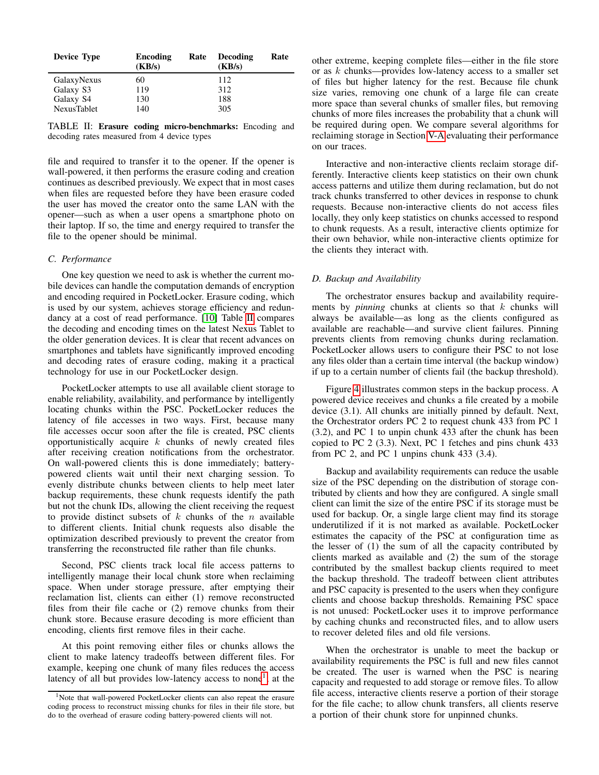<span id="page-4-1"></span>

| <b>Device Type</b> | Encoding<br>(KB/s) | Rate | Decoding<br>(KB/s) | Rate |
|--------------------|--------------------|------|--------------------|------|
| GalaxyNexus        | 60                 |      | 112                |      |
| Galaxy S3          | 119                |      | 312                |      |
| Galaxy S4          | 130                |      | 188                |      |
| <b>NexusTablet</b> | 140                |      | 305                |      |

TABLE II: Erasure coding micro-benchmarks: Encoding and decoding rates measured from 4 device types

file and required to transfer it to the opener. If the opener is wall-powered, it then performs the erasure coding and creation continues as described previously. We expect that in most cases when files are requested before they have been erasure coded the user has moved the creator onto the same LAN with the opener—such as when a user opens a smartphone photo on their laptop. If so, the time and energy required to transfer the file to the opener should be minimal.

# *C. Performance*

One key question we need to ask is whether the current mobile devices can handle the computation demands of encryption and encoding required in PocketLocker. Erasure coding, which is used by our system, achieves storage efficiency and redundancy at a cost of read performance. [\[10\]](#page-9-10) Table [II](#page-4-1) compares the decoding and encoding times on the latest Nexus Tablet to the older generation devices. It is clear that recent advances on smartphones and tablets have significantly improved encoding and decoding rates of erasure coding, making it a practical technology for use in our PocketLocker design.

PocketLocker attempts to use all available client storage to enable reliability, availability, and performance by intelligently locating chunks within the PSC. PocketLocker reduces the latency of file accesses in two ways. First, because many file accesses occur soon after the file is created, PSC clients opportunistically acquire  $k$  chunks of newly created files after receiving creation notifications from the orchestrator. On wall-powered clients this is done immediately; batterypowered clients wait until their next charging session. To evenly distribute chunks between clients to help meet later backup requirements, these chunk requests identify the path but not the chunk IDs, allowing the client receiving the request to provide distinct subsets of  $k$  chunks of the  $n$  available to different clients. Initial chunk requests also disable the optimization described previously to prevent the creator from transferring the reconstructed file rather than file chunks.

Second, PSC clients track local file access patterns to intelligently manage their local chunk store when reclaiming space. When under storage pressure, after emptying their reclamation list, clients can either (1) remove reconstructed files from their file cache or (2) remove chunks from their chunk store. Because erasure decoding is more efficient than encoding, clients first remove files in their cache.

At this point removing either files or chunks allows the client to make latency tradeoffs between different files. For example, keeping one chunk of many files reduces the access latency of all but provides low-latency access to none<sup>[1](#page-4-2)</sup>; at the

other extreme, keeping complete files—either in the file store or as k chunks—provides low-latency access to a smaller set of files but higher latency for the rest. Because file chunk size varies, removing one chunk of a large file can create more space than several chunks of smaller files, but removing chunks of more files increases the probability that a chunk will be required during open. We compare several algorithms for reclaiming storage in Section [V-A](#page-6-2) evaluating their performance on our traces.

Interactive and non-interactive clients reclaim storage differently. Interactive clients keep statistics on their own chunk access patterns and utilize them during reclamation, but do not track chunks transferred to other devices in response to chunk requests. Because non-interactive clients do not access files locally, they only keep statistics on chunks accessed to respond to chunk requests. As a result, interactive clients optimize for their own behavior, while non-interactive clients optimize for the clients they interact with.

# <span id="page-4-0"></span>*D. Backup and Availability*

The orchestrator ensures backup and availability requirements by *pinning* chunks at clients so that  $k$  chunks will always be available—as long as the clients configured as available are reachable—and survive client failures. Pinning prevents clients from removing chunks during reclamation. PocketLocker allows users to configure their PSC to not lose any files older than a certain time interval (the backup window) if up to a certain number of clients fail (the backup threshold).

Figure [4](#page-3-4) illustrates common steps in the backup process. A powered device receives and chunks a file created by a mobile device (3.1). All chunks are initially pinned by default. Next, the Orchestrator orders PC 2 to request chunk 433 from PC 1 (3.2), and PC 1 to unpin chunk 433 after the chunk has been copied to PC 2 (3.3). Next, PC 1 fetches and pins chunk 433 from PC 2, and PC 1 unpins chunk 433 (3.4).

Backup and availability requirements can reduce the usable size of the PSC depending on the distribution of storage contributed by clients and how they are configured. A single small client can limit the size of the entire PSC if its storage must be used for backup. Or, a single large client may find its storage underutilized if it is not marked as available. PocketLocker estimates the capacity of the PSC at configuration time as the lesser of (1) the sum of all the capacity contributed by clients marked as available and (2) the sum of the storage contributed by the smallest backup clients required to meet the backup threshold. The tradeoff between client attributes and PSC capacity is presented to the users when they configure clients and choose backup thresholds. Remaining PSC space is not unused: PocketLocker uses it to improve performance by caching chunks and reconstructed files, and to allow users to recover deleted files and old file versions.

When the orchestrator is unable to meet the backup or availability requirements the PSC is full and new files cannot be created. The user is warned when the PSC is nearing capacity and requested to add storage or remove files. To allow file access, interactive clients reserve a portion of their storage for the file cache; to allow chunk transfers, all clients reserve a portion of their chunk store for unpinned chunks.

<span id="page-4-2"></span><sup>&</sup>lt;sup>1</sup>Note that wall-powered PocketLocker clients can also repeat the erasure coding process to reconstruct missing chunks for files in their file store, but do to the overhead of erasure coding battery-powered clients will not.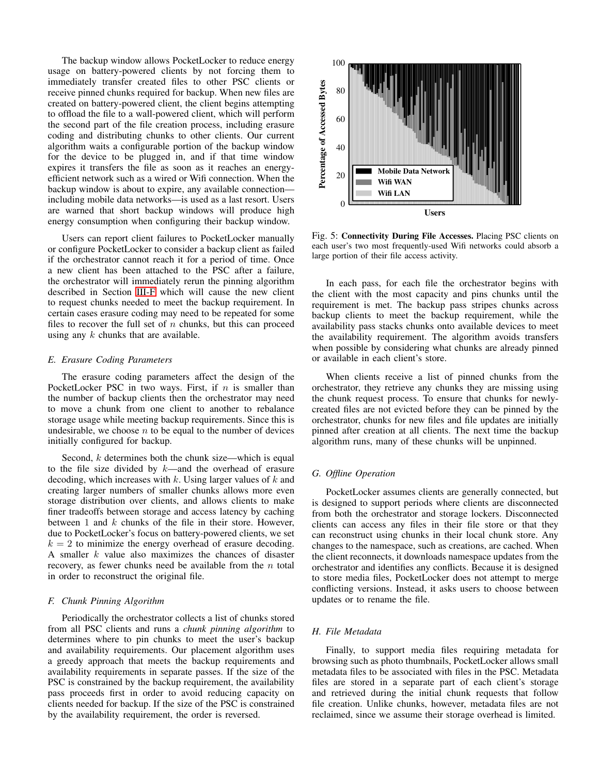The backup window allows PocketLocker to reduce energy usage on battery-powered clients by not forcing them to immediately transfer created files to other PSC clients or receive pinned chunks required for backup. When new files are created on battery-powered client, the client begins attempting to offload the file to a wall-powered client, which will perform the second part of the file creation process, including erasure coding and distributing chunks to other clients. Our current algorithm waits a configurable portion of the backup window for the device to be plugged in, and if that time window expires it transfers the file as soon as it reaches an energyefficient network such as a wired or Wifi connection. When the backup window is about to expire, any available connection including mobile data networks—is used as a last resort. Users are warned that short backup windows will produce high energy consumption when configuring their backup window.

Users can report client failures to PocketLocker manually or configure PocketLocker to consider a backup client as failed if the orchestrator cannot reach it for a period of time. Once a new client has been attached to the PSC after a failure, the orchestrator will immediately rerun the pinning algorithm described in Section [III-F](#page-5-0) which will cause the new client to request chunks needed to meet the backup requirement. In certain cases erasure coding may need to be repeated for some files to recover the full set of  $n$  chunks, but this can proceed using any  $k$  chunks that are available.

## *E. Erasure Coding Parameters*

The erasure coding parameters affect the design of the PocketLocker PSC in two ways. First, if  $n$  is smaller than the number of backup clients then the orchestrator may need to move a chunk from one client to another to rebalance storage usage while meeting backup requirements. Since this is undesirable, we choose  $n$  to be equal to the number of devices initially configured for backup.

Second,  $k$  determines both the chunk size—which is equal to the file size divided by  $k$ —and the overhead of erasure decoding, which increases with  $k$ . Using larger values of  $k$  and creating larger numbers of smaller chunks allows more even storage distribution over clients, and allows clients to make finer tradeoffs between storage and access latency by caching between  $1$  and  $k$  chunks of the file in their store. However, due to PocketLocker's focus on battery-powered clients, we set  $k = 2$  to minimize the energy overhead of erasure decoding. A smaller  $k$  value also maximizes the chances of disaster recovery, as fewer chunks need be available from the  $n$  total in order to reconstruct the original file.

#### <span id="page-5-0"></span>*F. Chunk Pinning Algorithm*

Periodically the orchestrator collects a list of chunks stored from all PSC clients and runs a *chunk pinning algorithm* to determines where to pin chunks to meet the user's backup and availability requirements. Our placement algorithm uses a greedy approach that meets the backup requirements and availability requirements in separate passes. If the size of the PSC is constrained by the backup requirement, the availability pass proceeds first in order to avoid reducing capacity on clients needed for backup. If the size of the PSC is constrained by the availability requirement, the order is reversed.

<span id="page-5-1"></span>

Fig. 5: Connectivity During File Accesses. Placing PSC clients on each user's two most frequently-used Wifi networks could absorb a large portion of their file access activity.

In each pass, for each file the orchestrator begins with the client with the most capacity and pins chunks until the requirement is met. The backup pass stripes chunks across backup clients to meet the backup requirement, while the availability pass stacks chunks onto available devices to meet the availability requirement. The algorithm avoids transfers when possible by considering what chunks are already pinned or available in each client's store.

When clients receive a list of pinned chunks from the orchestrator, they retrieve any chunks they are missing using the chunk request process. To ensure that chunks for newlycreated files are not evicted before they can be pinned by the orchestrator, chunks for new files and file updates are initially pinned after creation at all clients. The next time the backup algorithm runs, many of these chunks will be unpinned.

# *G. Offline Operation*

PocketLocker assumes clients are generally connected, but is designed to support periods where clients are disconnected from both the orchestrator and storage lockers. Disconnected clients can access any files in their file store or that they can reconstruct using chunks in their local chunk store. Any changes to the namespace, such as creations, are cached. When the client reconnects, it downloads namespace updates from the orchestrator and identifies any conflicts. Because it is designed to store media files, PocketLocker does not attempt to merge conflicting versions. Instead, it asks users to choose between updates or to rename the file.

# *H. File Metadata*

Finally, to support media files requiring metadata for browsing such as photo thumbnails, PocketLocker allows small metadata files to be associated with files in the PSC. Metadata files are stored in a separate part of each client's storage and retrieved during the initial chunk requests that follow file creation. Unlike chunks, however, metadata files are not reclaimed, since we assume their storage overhead is limited.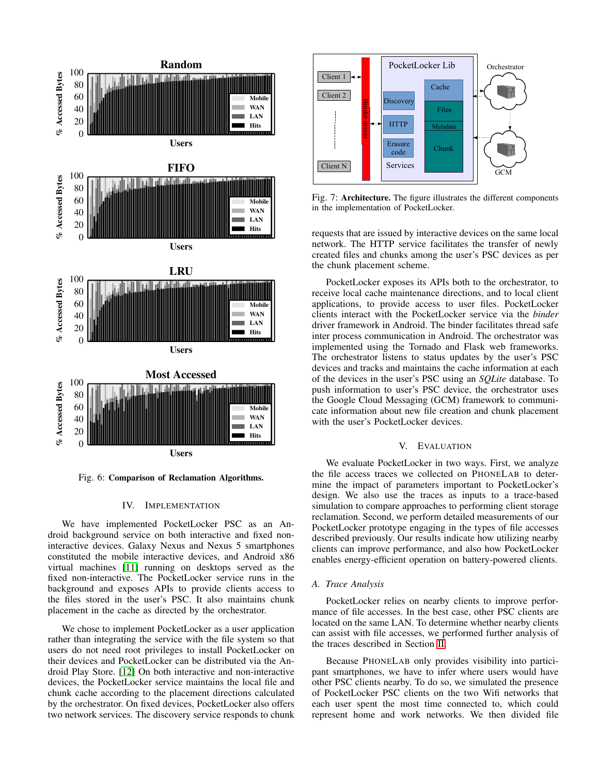<span id="page-6-3"></span>

Fig. 6: Comparison of Reclamation Algorithms.

## IV. IMPLEMENTATION

<span id="page-6-0"></span>We have implemented PocketLocker PSC as an Android background service on both interactive and fixed noninteractive devices. Galaxy Nexus and Nexus 5 smartphones constituted the mobile interactive devices, and Android x86 virtual machines [\[11\]](#page-9-11) running on desktops served as the fixed non-interactive. The PocketLocker service runs in the background and exposes APIs to provide clients access to the files stored in the user's PSC. It also maintains chunk placement in the cache as directed by the orchestrator.

We chose to implement PocketLocker as a user application rather than integrating the service with the file system so that users do not need root privileges to install PocketLocker on their devices and PocketLocker can be distributed via the Android Play Store. [\[12\]](#page-9-12) On both interactive and non-interactive devices, the PocketLocker service maintains the local file and chunk cache according to the placement directions calculated by the orchestrator. On fixed devices, PocketLocker also offers two network services. The discovery service responds to chunk



Fig. 7: Architecture. The figure illustrates the different components in the implementation of PocketLocker.

requests that are issued by interactive devices on the same local network. The HTTP service facilitates the transfer of newly created files and chunks among the user's PSC devices as per the chunk placement scheme.

PocketLocker exposes its APIs both to the orchestrator, to receive local cache maintenance directions, and to local client applications, to provide access to user files. PocketLocker clients interact with the PocketLocker service via the *binder* driver framework in Android. The binder facilitates thread safe inter process communication in Android. The orchestrator was implemented using the Tornado and Flask web frameworks. The orchestrator listens to status updates by the user's PSC devices and tracks and maintains the cache information at each of the devices in the user's PSC using an *SQLite* database. To push information to user's PSC device, the orchestrator uses the Google Cloud Messaging (GCM) framework to communicate information about new file creation and chunk placement with the user's PocketLocker devices.

# V. EVALUATION

<span id="page-6-1"></span>We evaluate PocketLocker in two ways. First, we analyze the file access traces we collected on PHONELAB to determine the impact of parameters important to PocketLocker's design. We also use the traces as inputs to a trace-based simulation to compare approaches to performing client storage reclamation. Second, we perform detailed measurements of our PocketLocker prototype engaging in the types of file accesses described previously. Our results indicate how utilizing nearby clients can improve performance, and also how PocketLocker enables energy-efficient operation on battery-powered clients.

#### <span id="page-6-2"></span>*A. Trace Analysis*

PocketLocker relies on nearby clients to improve performance of file accesses. In the best case, other PSC clients are located on the same LAN. To determine whether nearby clients can assist with file accesses, we performed further analysis of the traces described in Section [II.](#page-1-0)

Because PHONELAB only provides visibility into participant smartphones, we have to infer where users would have other PSC clients nearby. To do so, we simulated the presence of PocketLocker PSC clients on the two Wifi networks that each user spent the most time connected to, which could represent home and work networks. We then divided file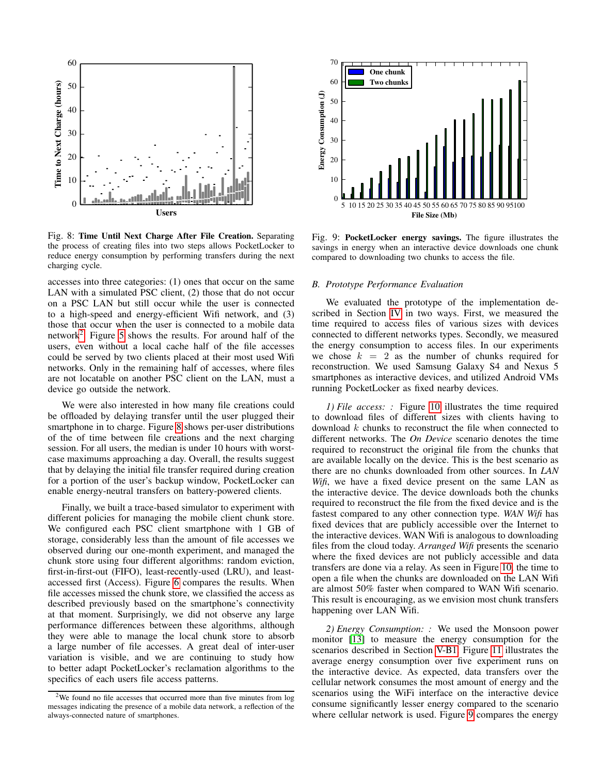<span id="page-7-1"></span>

Fig. 8: Time Until Next Charge After File Creation. Separating the process of creating files into two steps allows PocketLocker to reduce energy consumption by performing transfers during the next charging cycle.

accesses into three categories: (1) ones that occur on the same LAN with a simulated PSC client, (2) those that do not occur on a PSC LAN but still occur while the user is connected to a high-speed and energy-efficient Wifi network, and (3) those that occur when the user is connected to a mobile data network<sup>[2](#page-7-0)</sup>. Figure [5](#page-5-1) shows the results. For around half of the users, even without a local cache half of the file accesses could be served by two clients placed at their most used Wifi networks. Only in the remaining half of accesses, where files are not locatable on another PSC client on the LAN, must a device go outside the network.

We were also interested in how many file creations could be offloaded by delaying transfer until the user plugged their smartphone in to charge. Figure [8](#page-7-1) shows per-user distributions of the of time between file creations and the next charging session. For all users, the median is under 10 hours with worstcase maximums approaching a day. Overall, the results suggest that by delaying the initial file transfer required during creation for a portion of the user's backup window, PocketLocker can enable energy-neutral transfers on battery-powered clients.

Finally, we built a trace-based simulator to experiment with different policies for managing the mobile client chunk store. We configured each PSC client smartphone with 1 GB of storage, considerably less than the amount of file accesses we observed during our one-month experiment, and managed the chunk store using four different algorithms: random eviction, first-in-first-out (FIFO), least-recently-used (LRU), and leastaccessed first (Access). Figure [6](#page-6-3) compares the results. When file accesses missed the chunk store, we classified the access as described previously based on the smartphone's connectivity at that moment. Surprisingly, we did not observe any large performance differences between these algorithms, although they were able to manage the local chunk store to absorb a large number of file accesses. A great deal of inter-user variation is visible, and we are continuing to study how to better adapt PocketLocker's reclamation algorithms to the specifics of each users file access patterns.

<span id="page-7-3"></span>

Fig. 9: PocketLocker energy savings. The figure illustrates the savings in energy when an interactive device downloads one chunk compared to downloading two chunks to access the file.

## *B. Prototype Performance Evaluation*

We evaluated the prototype of the implementation described in Section [IV](#page-6-0) in two ways. First, we measured the time required to access files of various sizes with devices connected to different networks types. Secondly, we measured the energy consumption to access files. In our experiments we chose  $k = 2$  as the number of chunks required for reconstruction. We used Samsung Galaxy S4 and Nexus 5 smartphones as interactive devices, and utilized Android VMs running PocketLocker as fixed nearby devices.

<span id="page-7-2"></span>*1) File access: :* Figure [10](#page-8-1) illustrates the time required to download files of different sizes with clients having to download k chunks to reconstruct the file when connected to different networks. The *On Device* scenario denotes the time required to reconstruct the original file from the chunks that are available locally on the device. This is the best scenario as there are no chunks downloaded from other sources. In *LAN Wifi*, we have a fixed device present on the same LAN as the interactive device. The device downloads both the chunks required to reconstruct the file from the fixed device and is the fastest compared to any other connection type. *WAN Wifi* has fixed devices that are publicly accessible over the Internet to the interactive devices. WAN Wifi is analogous to downloading files from the cloud today. *Arranged Wifi* presents the scenario where the fixed devices are not publicly accessible and data transfers are done via a relay. As seen in Figure [10,](#page-8-1) the time to open a file when the chunks are downloaded on the LAN Wifi are almost 50% faster when compared to WAN Wifi scenario. This result is encouraging, as we envision most chunk transfers happening over LAN Wifi.

*2) Energy Consumption: :* We used the Monsoon power monitor [\[13\]](#page-9-13) to measure the energy consumption for the scenarios described in Section [V-B1.](#page-7-2) Figure [11](#page-9-14) illustrates the average energy consumption over five experiment runs on the interactive device. As expected, data transfers over the cellular network consumes the most amount of energy and the scenarios using the WiFi interface on the interactive device consume significantly lesser energy compared to the scenario where cellular network is used. Figure [9](#page-7-3) compares the energy

<span id="page-7-0"></span> $2$ We found no file accesses that occurred more than five minutes from log messages indicating the presence of a mobile data network, a reflection of the always-connected nature of smartphones.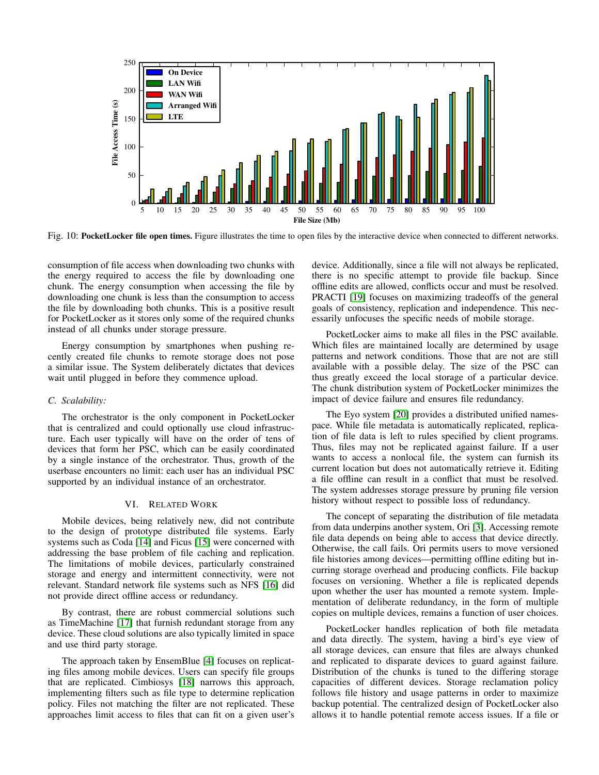<span id="page-8-1"></span>

Fig. 10: PocketLocker file open times. Figure illustrates the time to open files by the interactive device when connected to different networks.

consumption of file access when downloading two chunks with the energy required to access the file by downloading one chunk. The energy consumption when accessing the file by downloading one chunk is less than the consumption to access the file by downloading both chunks. This is a positive result for PocketLocker as it stores only some of the required chunks instead of all chunks under storage pressure.

Energy consumption by smartphones when pushing recently created file chunks to remote storage does not pose a similar issue. The System deliberately dictates that devices wait until plugged in before they commence upload.

# *C. Scalability:*

The orchestrator is the only component in PocketLocker that is centralized and could optionally use cloud infrastructure. Each user typically will have on the order of tens of devices that form her PSC, which can be easily coordinated by a single instance of the orchestrator. Thus, growth of the userbase encounters no limit: each user has an individual PSC supported by an individual instance of an orchestrator.

## VI. RELATED WORK

<span id="page-8-0"></span>Mobile devices, being relatively new, did not contribute to the design of prototype distributed file systems. Early systems such as Coda [\[14\]](#page-9-15) and Ficus [\[15\]](#page-9-16) were concerned with addressing the base problem of file caching and replication. The limitations of mobile devices, particularly constrained storage and energy and intermittent connectivity, were not relevant. Standard network file systems such as NFS [\[16\]](#page-9-17) did not provide direct offline access or redundancy.

By contrast, there are robust commercial solutions such as TimeMachine [\[17\]](#page-9-18) that furnish redundant storage from any device. These cloud solutions are also typically limited in space and use third party storage.

The approach taken by EnsemBlue [\[4\]](#page-9-3) focuses on replicating files among mobile devices. Users can specify file groups that are replicated. Cimbiosys [\[18\]](#page-9-19) narrows this approach, implementing filters such as file type to determine replication policy. Files not matching the filter are not replicated. These approaches limit access to files that can fit on a given user's device. Additionally, since a file will not always be replicated, there is no specific attempt to provide file backup. Since offline edits are allowed, conflicts occur and must be resolved. PRACTI [\[19\]](#page-9-20) focuses on maximizing tradeoffs of the general goals of consistency, replication and independence. This necessarily unfocuses the specific needs of mobile storage.

PocketLocker aims to make all files in the PSC available. Which files are maintained locally are determined by usage patterns and network conditions. Those that are not are still available with a possible delay. The size of the PSC can thus greatly exceed the local storage of a particular device. The chunk distribution system of PocketLocker minimizes the impact of device failure and ensures file redundancy.

The Eyo system [\[20\]](#page-9-21) provides a distributed unified namespace. While file metadata is automatically replicated, replication of file data is left to rules specified by client programs. Thus, files may not be replicated against failure. If a user wants to access a nonlocal file, the system can furnish its current location but does not automatically retrieve it. Editing a file offline can result in a conflict that must be resolved. The system addresses storage pressure by pruning file version history without respect to possible loss of redundancy.

The concept of separating the distribution of file metadata from data underpins another system, Ori [\[3\]](#page-9-2). Accessing remote file data depends on being able to access that device directly. Otherwise, the call fails. Ori permits users to move versioned file histories among devices—permitting offline editing but incurring storage overhead and producing conflicts. File backup focuses on versioning. Whether a file is replicated depends upon whether the user has mounted a remote system. Implementation of deliberate redundancy, in the form of multiple copies on multiple devices, remains a function of user choices.

PocketLocker handles replication of both file metadata and data directly. The system, having a bird's eye view of all storage devices, can ensure that files are always chunked and replicated to disparate devices to guard against failure. Distribution of the chunks is tuned to the differing storage capacities of different devices. Storage reclamation policy follows file history and usage patterns in order to maximize backup potential. The centralized design of PocketLocker also allows it to handle potential remote access issues. If a file or